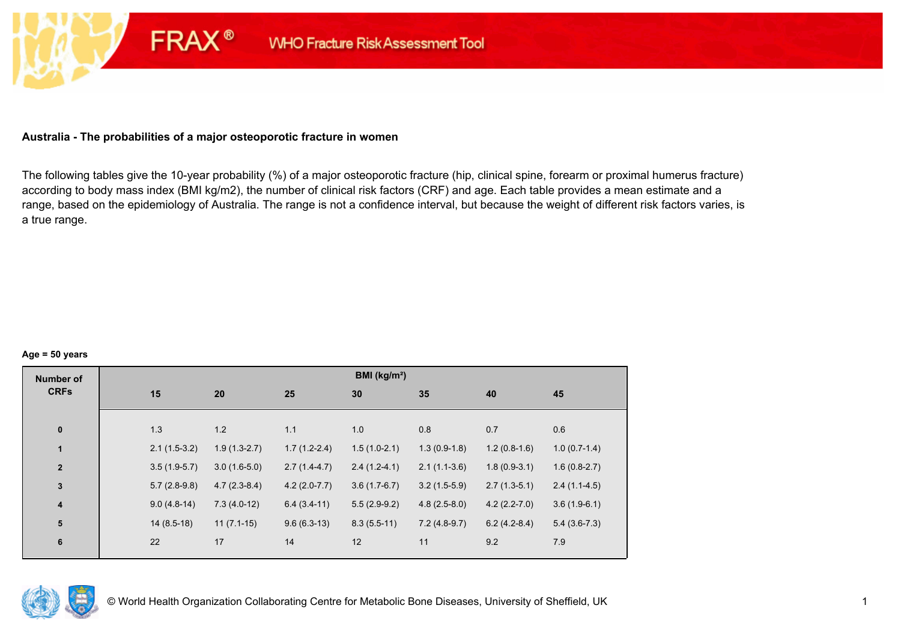## **Australia - The probabilities of a major osteoporotic fracture in women**

**FRAX®** 

The following tables give the 10-year probability (%) of a major osteoporotic fracture (hip, clinical spine, forearm or proximal humerus fracture) according to body mass index (BMI kg/m2), the number of clinical risk factors (CRF) and age. Each table provides a mean estimate and a range, based on the epidemiology of Australia. The range is not a confidence interval, but because the weight of different risk factors varies, is a true range.

#### **Age = 50 years**

| <b>Number of</b>        |     |                |                |                | BMI (kg/m <sup>2</sup> ) |                |                |                |
|-------------------------|-----|----------------|----------------|----------------|--------------------------|----------------|----------------|----------------|
| <b>CRFs</b>             | 15  |                | 20             | 25             | 30                       | 35             | 40             | 45             |
|                         |     |                |                |                |                          |                |                |                |
| $\pmb{0}$               | 1.3 |                | 1.2            | 1.1            | 1.0                      | 0.8            | 0.7            | 0.6            |
| $\mathbf{1}$            |     | $2.1(1.5-3.2)$ | $1.9(1.3-2.7)$ | $1.7(1.2-2.4)$ | $1.5(1.0-2.1)$           | $1.3(0.9-1.8)$ | $1.2(0.8-1.6)$ | $1.0(0.7-1.4)$ |
| $\mathbf{2}$            |     | $3.5(1.9-5.7)$ | $3.0(1.6-5.0)$ | $2.7(1.4-4.7)$ | $2.4(1.2-4.1)$           | $2.1(1.1-3.6)$ | $1.8(0.9-3.1)$ | $1.6(0.8-2.7)$ |
| $\mathbf 3$             |     | $5.7(2.8-9.8)$ | $4.7(2.3-8.4)$ | $4.2(2.0-7.7)$ | $3.6(1.7-6.7)$           | $3.2(1.5-5.9)$ | $2.7(1.3-5.1)$ | $2.4(1.1-4.5)$ |
| $\overline{\mathbf{4}}$ |     | $9.0(4.8-14)$  | $7.3(4.0-12)$  | $6.4(3.4-11)$  | $5.5(2.9-9.2)$           | $4.8(2.5-8.0)$ | $4.2(2.2-7.0)$ | $3.6(1.9-6.1)$ |
| 5                       |     | $14(8.5-18)$   | $11(7.1-15)$   | $9.6(6.3-13)$  | $8.3(5.5-11)$            | $7.2(4.8-9.7)$ | $6.2(4.2-8.4)$ | $5.4(3.6-7.3)$ |
| $\bf 6$                 | 22  | 17             |                | 14             | 12                       | 11             | 9.2            | 7.9            |
|                         |     |                |                |                |                          |                |                |                |

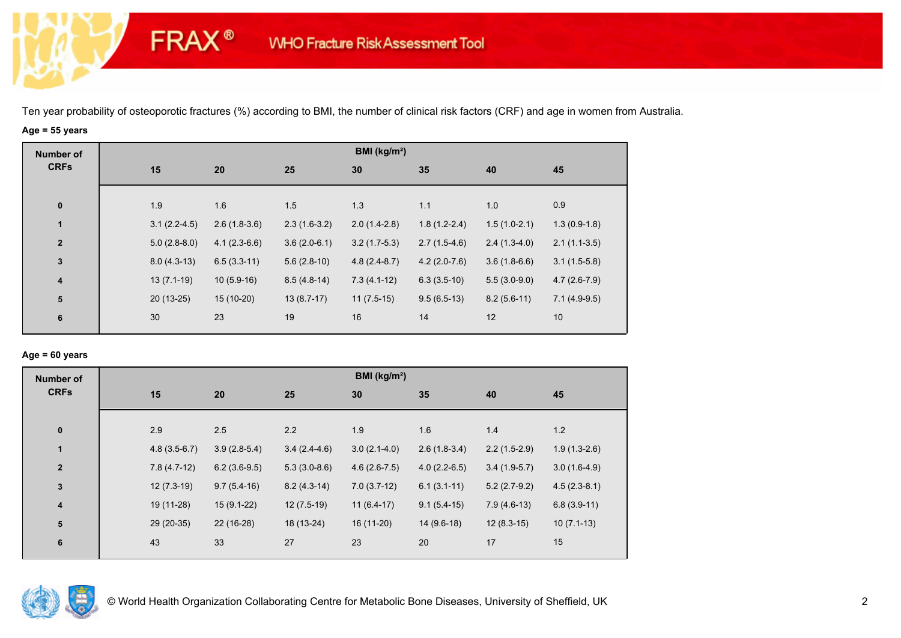## **Age = 55 years**

**FRAX®** 

| <b>Number of</b>        |                |                |                | BMI (kg/m <sup>2</sup> ) |                |                |                |
|-------------------------|----------------|----------------|----------------|--------------------------|----------------|----------------|----------------|
| <b>CRFs</b>             | 15             | 20             | 25             | 30                       | 35             | 40             | 45             |
|                         |                |                |                |                          |                |                |                |
| $\pmb{0}$               | 1.9            | 1.6            | 1.5            | 1.3                      | 1.1            | 1.0            | 0.9            |
| $\mathbf{1}$            | $3.1(2.2-4.5)$ | $2.6(1.8-3.6)$ | $2.3(1.6-3.2)$ | $2.0(1.4-2.8)$           | $1.8(1.2-2.4)$ | $1.5(1.0-2.1)$ | $1.3(0.9-1.8)$ |
| $\overline{2}$          | $5.0(2.8-8.0)$ | $4.1(2.3-6.6)$ | $3.6(2.0-6.1)$ | $3.2(1.7-5.3)$           | $2.7(1.5-4.6)$ | $2.4(1.3-4.0)$ | $2.1(1.1-3.5)$ |
| $\mathbf{3}$            | $8.0(4.3-13)$  | $6.5(3.3-11)$  | $5.6(2.8-10)$  | $4.8(2.4-8.7)$           | $4.2(2.0-7.6)$ | $3.6(1.8-6.6)$ | $3.1(1.5-5.8)$ |
| $\overline{\mathbf{4}}$ | $13(7.1-19)$   | $10(5.9-16)$   | $8.5(4.8-14)$  | $7.3(4.1-12)$            | $6.3(3.5-10)$  | $5.5(3.0-9.0)$ | $4.7(2.6-7.9)$ |
| ${\bf 5}$               | $20(13-25)$    | $15(10-20)$    | $13(8.7-17)$   | $11(7.5-15)$             | $9.5(6.5-13)$  | $8.2(5.6-11)$  | $7.1(4.9-9.5)$ |
| 6                       | 30             | 23             | 19             | 16                       | 14             | 12             | 10             |
|                         |                |                |                |                          |                |                |                |

## **Age = 60 years**

| <b>Number of</b> |                |                |                | BMI ( $kg/m2$ ) |                |                |                |
|------------------|----------------|----------------|----------------|-----------------|----------------|----------------|----------------|
| <b>CRFs</b>      | 15             | 20             | 25             | 30              | 35             | 40             | 45             |
|                  |                |                |                |                 |                |                |                |
| $\bf{0}$         | 2.9            | 2.5            | 2.2            | 1.9             | 1.6            | 1.4            | 1.2            |
| $\mathbf{1}$     | $4.8(3.5-6.7)$ | $3.9(2.8-5.4)$ | $3.4(2.4-4.6)$ | $3.0(2.1-4.0)$  | $2.6(1.8-3.4)$ | $2.2(1.5-2.9)$ | $1.9(1.3-2.6)$ |
| $\mathbf{2}$     | $7.8(4.7-12)$  | $6.2(3.6-9.5)$ | $5.3(3.0-8.6)$ | $4.6(2.6-7.5)$  | $4.0(2.2-6.5)$ | $3.4(1.9-5.7)$ | $3.0(1.6-4.9)$ |
| $\mathbf{3}$     | $12(7.3-19)$   | $9.7(5.4-16)$  | $8.2(4.3-14)$  | $7.0(3.7-12)$   | $6.1(3.1-11)$  | $5.2(2.7-9.2)$ | $4.5(2.3-8.1)$ |
| $\boldsymbol{4}$ | 19 (11-28)     | $15(9.1-22)$   | $12(7.5-19)$   | $11(6.4-17)$    | $9.1(5.4-15)$  | $7.9(4.6-13)$  | $6.8(3.9-11)$  |
| 5                | 29 (20-35)     | $22(16-28)$    | 18 (13-24)     | 16 (11-20)      | $14(9.6-18)$   | $12(8.3-15)$   | $10(7.1-13)$   |
| 6                | 43             | 33             | 27             | 23              | 20             | 17             | 15             |
|                  |                |                |                |                 |                |                |                |

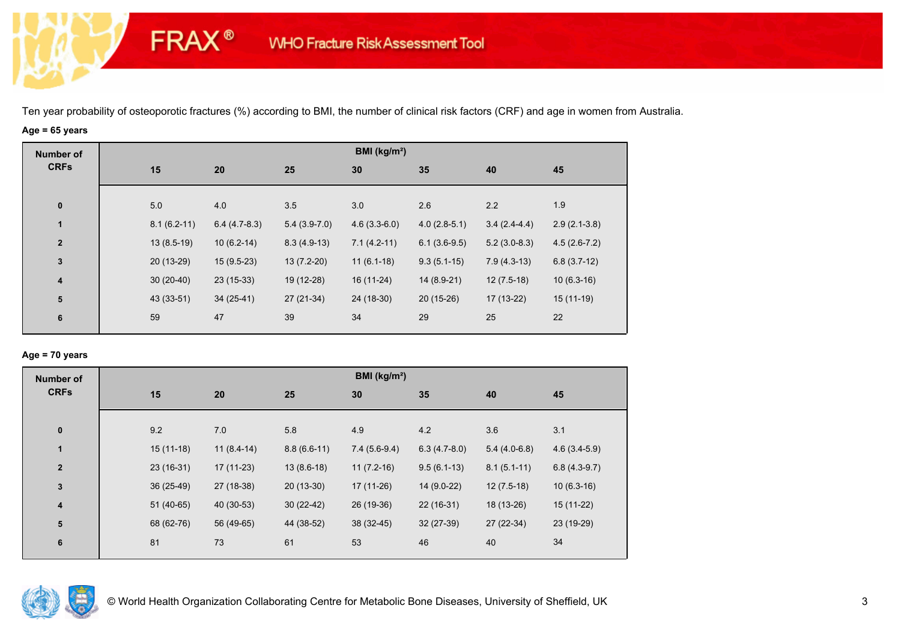# **Age = 65 years**

**FRAX®** 

| <b>Number of</b>        |     |                                 |                | BMI (kg/m <sup>2</sup> ) |                |                |                |
|-------------------------|-----|---------------------------------|----------------|--------------------------|----------------|----------------|----------------|
| <b>CRFs</b>             | 15  | 20                              | 25             | 30                       | 35             | 40             | 45             |
| $\bf{0}$                | 5.0 | 4.0                             | 3.5            | 3.0                      | 2.6            | 2.2            | 1.9            |
| $\mathbf{1}$            |     | $8.1(6.2-11)$<br>$6.4(4.7-8.3)$ | $5.4(3.9-7.0)$ | $4.6(3.3-6.0)$           | $4.0(2.8-5.1)$ | $3.4(2.4-4.4)$ | $2.9(2.1-3.8)$ |
| $\overline{2}$          |     | $13(8.5-19)$<br>$10(6.2-14)$    | $8.3(4.9-13)$  | $7.1(4.2-11)$            | $6.1(3.6-9.5)$ | $5.2(3.0-8.3)$ | $4.5(2.6-7.2)$ |
| $\mathbf{3}$            |     | 20 (13-29)<br>$15(9.5-23)$      | $13(7.2-20)$   | $11(6.1-18)$             | $9.3(5.1-15)$  | $7.9(4.3-13)$  | $6.8(3.7-12)$  |
| $\overline{\mathbf{4}}$ |     | $23(15-33)$<br>$30(20-40)$      | 19 (12-28)     | 16 (11-24)               | 14 (8.9-21)    | $12(7.5-18)$   | $10(6.3-16)$   |
| ${\bf 5}$               |     | 43 (33-51)<br>$34(25-41)$       | 27 (21-34)     | 24 (18-30)               | $20(15-26)$    | 17 (13-22)     | $15(11-19)$    |
| $\bf 6$                 | 59  | 47                              | 39             | 34                       | 29             | 25             | 22             |

## **Age = 70 years**

| <b>Number of</b> |             |              |               | BMI ( $kg/m2$ ) |                |                |                |
|------------------|-------------|--------------|---------------|-----------------|----------------|----------------|----------------|
| <b>CRFs</b>      | 15          | 20           | 25            | 30              | 35             | 40             | 45             |
| $\pmb{0}$        | 9.2         | 7.0          | 5.8           | 4.9             | 4.2            | 3.6            | 3.1            |
| $\mathbf{1}$     | $15(11-18)$ | $11(8.4-14)$ | $8.8(6.6-11)$ | $7.4(5.6-9.4)$  | $6.3(4.7-8.0)$ | $5.4(4.0-6.8)$ | $4.6(3.4-5.9)$ |
| $\overline{2}$   | $23(16-31)$ | $17(11-23)$  | $13(8.6-18)$  | $11(7.2-16)$    | $9.5(6.1-13)$  | $8.1(5.1-11)$  | $6.8(4.3-9.7)$ |
| $\mathbf 3$      | 36 (25-49)  | 27 (18-38)   | $20(13-30)$   | $17(11-26)$     | 14 (9.0-22)    | $12(7.5-18)$   | $10(6.3-16)$   |
| 4                | $51(40-65)$ | 40 (30-53)   | $30(22-42)$   | 26 (19-36)      | $22(16-31)$    | 18 (13-26)     | 15 (11-22)     |
| 5                | 68 (62-76)  | 56 (49-65)   | 44 (38-52)    | $38(32-45)$     | $32(27-39)$    | 27 (22-34)     | 23 (19-29)     |
| 6                | 81          | 73           | 61            | 53              | 46             | 40             | 34             |

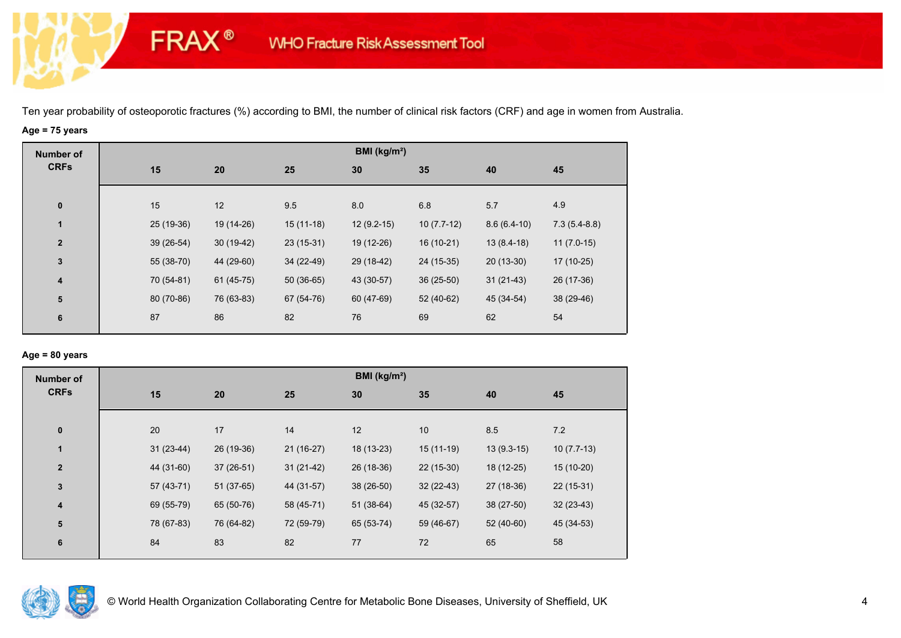# **Age = 75 years**

**FRAX®** 

| <b>Number of</b> |            |             |             | BMI (kg/m <sup>2</sup> ) |              |               |                |
|------------------|------------|-------------|-------------|--------------------------|--------------|---------------|----------------|
| <b>CRFs</b>      | 15         | 20          | 25          | 30                       | 35           | 40            | 45             |
|                  |            |             |             |                          |              |               |                |
| $\pmb{0}$        | 15         | 12          | 9.5         | 8.0                      | 6.8          | 5.7           | 4.9            |
| $\mathbf{1}$     | 25 (19-36) | 19 (14-26)  | $15(11-18)$ | $12(9.2-15)$             | $10(7.7-12)$ | $8.6(6.4-10)$ | $7.3(5.4-8.8)$ |
| $\overline{2}$   | 39 (26-54) | $30(19-42)$ | $23(15-31)$ | 19 (12-26)               | 16 (10-21)   | $13(8.4-18)$  | $11(7.0-15)$   |
| $\mathbf{3}$     | 55 (38-70) | 44 (29-60)  | 34 (22-49)  | 29 (18-42)               | 24 (15-35)   | $20(13-30)$   | $17(10-25)$    |
| 4                | 70 (54-81) | $61(45-75)$ | $50(36-65)$ | 43 (30-57)               | $36(25-50)$  | $31(21-43)$   | 26 (17-36)     |
| ${\bf 5}$        | 80 (70-86) | 76 (63-83)  | 67 (54-76)  | 60 (47-69)               | 52 (40-62)   | 45 (34-54)    | 38 (29-46)     |
| 6                | 87         | 86          | 82          | 76                       | 69           | 62            | 54             |
|                  |            |             |             |                          |              |               |                |

# **Age = 80 years**

| <b>Number of</b> |             |             |             | BMI (kg/m <sup>2</sup> ) |             |              |              |
|------------------|-------------|-------------|-------------|--------------------------|-------------|--------------|--------------|
| <b>CRFs</b>      | 15          | 20          | 25          | 30                       | 35          | 40           | 45           |
|                  |             |             |             |                          |             |              |              |
| $\bf{0}$         | 20          | 17          | 14          | 12                       | 10          | 8.5          | 7.2          |
| 1                | $31(23-44)$ | 26 (19-36)  | $21(16-27)$ | 18 (13-23)               | $15(11-19)$ | $13(9.3-15)$ | $10(7.7-13)$ |
| $\overline{2}$   | 44 (31-60)  | $37(26-51)$ | $31(21-42)$ | 26 (18-36)               | $22(15-30)$ | 18 (12-25)   | $15(10-20)$  |
| $\mathbf{3}$     | $57(43-71)$ | $51(37-65)$ | 44 (31-57)  | 38 (26-50)               | $32(22-43)$ | 27 (18-36)   | $22(15-31)$  |
| 4                | 69 (55-79)  | 65 (50-76)  | 58 (45-71)  | $51(38-64)$              | 45 (32-57)  | 38 (27-50)   | $32(23-43)$  |
| 5                | 78 (67-83)  | 76 (64-82)  | 72 (59-79)  | 65 (53-74)               | 59 (46-67)  | 52 (40-60)   | 45 (34-53)   |
| $6\phantom{1}6$  | 84          | 83          | 82          | 77                       | 72          | 65           | 58           |
|                  |             |             |             |                          |             |              |              |